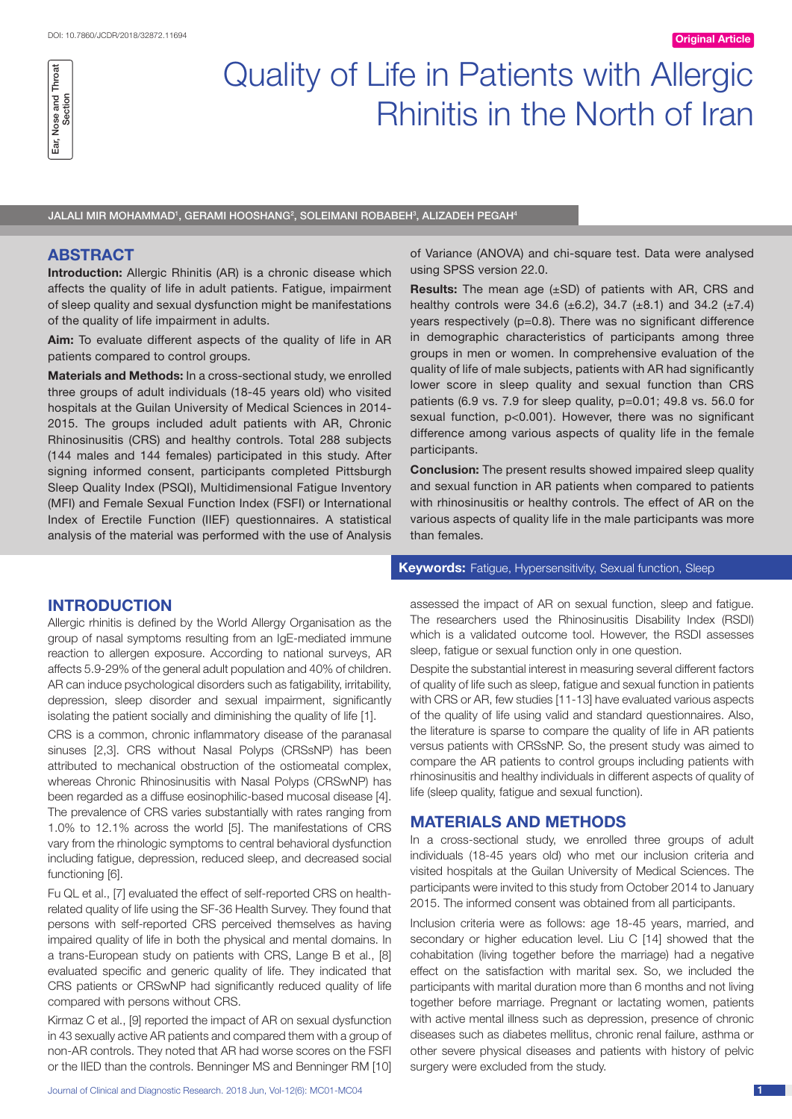

# Quality of Life in Patients with Allergic Rhinitis in the North of Iran

JALALI MIR MOHAMMAD', GERAMI HOOSHANG², SOLEIMANI ROBABEH<sup>3</sup>, ALIZADEH PEGAH<del>'</del>

### **ABSTRACT**

**Introduction:** Allergic Rhinitis (AR) is a chronic disease which affects the quality of life in adult patients. Fatigue, impairment of sleep quality and sexual dysfunction might be manifestations of the quality of life impairment in adults.

**Aim:** To evaluate different aspects of the quality of life in AR patients compared to control groups.

**Materials and Methods:** In a cross-sectional study, we enrolled three groups of adult individuals (18-45 years old) who visited hospitals at the Guilan University of Medical Sciences in 2014- 2015. The groups included adult patients with AR, Chronic Rhinosinusitis (CRS) and healthy controls. Total 288 subjects (144 males and 144 females) participated in this study. After signing informed consent, participants completed Pittsburgh Sleep Quality Index (PSQI), Multidimensional Fatigue Inventory (MFI) and Female Sexual Function Index (FSFI) or International Index of Erectile Function (IIEF) questionnaires. A statistical analysis of the material was performed with the use of Analysis of Variance (ANOVA) and chi-square test. Data were analysed using SPSS version 22.0.

**Results:** The mean age (±SD) of patients with AR, CRS and healthy controls were 34.6 (±6.2), 34.7 (±8.1) and 34.2 (±7.4) years respectively (p=0.8). There was no significant difference in demographic characteristics of participants among three groups in men or women. In comprehensive evaluation of the quality of life of male subjects, patients with AR had significantly lower score in sleep quality and sexual function than CRS patients (6.9 vs. 7.9 for sleep quality, p=0.01; 49.8 vs. 56.0 for sexual function, p<0.001). However, there was no significant difference among various aspects of quality life in the female participants.

**Conclusion:** The present results showed impaired sleep quality and sexual function in AR patients when compared to patients with rhinosinusitis or healthy controls. The effect of AR on the various aspects of quality life in the male participants was more than females.

**Keywords:** Fatigue, Hypersensitivity, Sexual function, Sleep

## **Introduction**

Allergic rhinitis is defined by the World Allergy Organisation as the group of nasal symptoms resulting from an IgE-mediated immune reaction to allergen exposure. According to national surveys, AR affects 5.9-29% of the general adult population and 40% of children. AR can induce psychological disorders such as fatigability, irritability, depression, sleep disorder and sexual impairment, significantly isolating the patient socially and diminishing the quality of life [1].

CRS is a common, chronic inflammatory disease of the paranasal sinuses [2,3]. CRS without Nasal Polyps (CRSsNP) has been attributed to mechanical obstruction of the ostiomeatal complex, whereas Chronic Rhinosinusitis with Nasal Polyps (CRSwNP) has been regarded as a diffuse eosinophilic-based mucosal disease [4]. The prevalence of CRS varies substantially with rates ranging from 1.0% to 12.1% across the world [5]. The manifestations of CRS vary from the rhinologic symptoms to central behavioral dysfunction including fatigue, depression, reduced sleep, and decreased social functioning [6].

Fu QL et al., [7] evaluated the effect of self-reported CRS on healthrelated quality of life using the SF-36 Health Survey. They found that persons with self-reported CRS perceived themselves as having impaired quality of life in both the physical and mental domains. In a trans-European study on patients with CRS, Lange B et al., [8] evaluated specific and generic quality of life. They indicated that CRS patients or CRSwNP had significantly reduced quality of life compared with persons without CRS.

Kirmaz C et al., [9] reported the impact of AR on sexual dysfunction in 43 sexually active AR patients and compared them with a group of non-AR controls. They noted that AR had worse scores on the FSFI or the IIED than the controls. Benninger MS and Benninger RM [10] assessed the impact of AR on sexual function, sleep and fatigue. The researchers used the Rhinosinusitis Disability Index (RSDI) which is a validated outcome tool. However, the RSDI assesses sleep, fatigue or sexual function only in one question.

Despite the substantial interest in measuring several different factors of quality of life such as sleep, fatigue and sexual function in patients with CRS or AR, few studies [11-13] have evaluated various aspects of the quality of life using valid and standard questionnaires. Also, the literature is sparse to compare the quality of life in AR patients versus patients with CRSsNP. So, the present study was aimed to compare the AR patients to control groups including patients with rhinosinusitis and healthy individuals in different aspects of quality of life (sleep quality, fatigue and sexual function).

#### **Materials and methods**

In a cross-sectional study, we enrolled three groups of adult individuals (18-45 years old) who met our inclusion criteria and visited hospitals at the Guilan University of Medical Sciences. The participants were invited to this study from October 2014 to January 2015. The informed consent was obtained from all participants.

Inclusion criteria were as follows: age 18-45 years, married, and secondary or higher education level. Liu C [14] showed that the cohabitation (living together before the marriage) had a negative effect on the satisfaction with marital sex. So, we included the participants with marital duration more than 6 months and not living together before marriage. Pregnant or lactating women, patients with active mental illness such as depression, presence of chronic diseases such as diabetes mellitus, chronic renal failure, asthma or other severe physical diseases and patients with history of pelvic surgery were excluded from the study.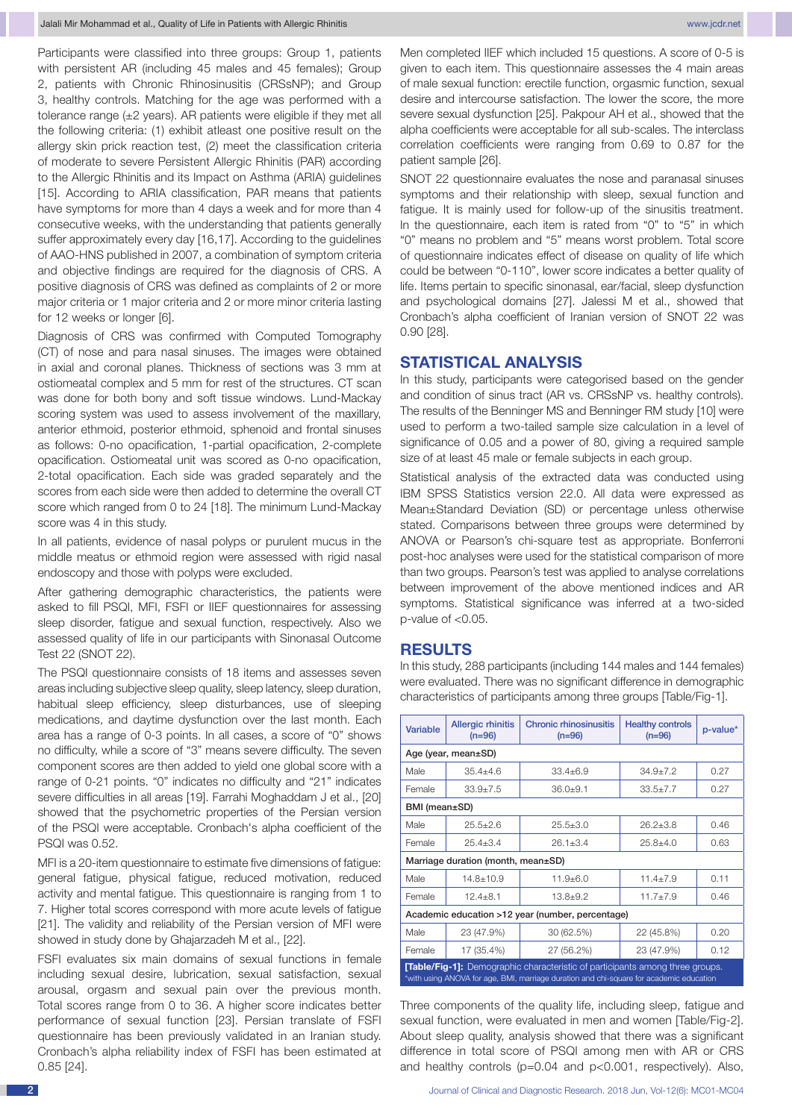Participants were classified into three groups: Group 1, patients with persistent AR (including 45 males and 45 females); Group 2, patients with Chronic Rhinosinusitis (CRSsNP); and Group 3, healthy controls. Matching for the age was performed with a tolerance range (±2 years). AR patients were eligible if they met all the following criteria: (1) exhibit atleast one positive result on the allergy skin prick reaction test, (2) meet the classification criteria of moderate to severe Persistent Allergic Rhinitis (PAR) according to the Allergic Rhinitis and its Impact on Asthma (ARIA) guidelines [15]. According to ARIA classification, PAR means that patients have symptoms for more than 4 days a week and for more than 4 consecutive weeks, with the understanding that patients generally suffer approximately every day [16,17]. According to the guidelines of AAO-HNS published in 2007, a combination of symptom criteria and objective findings are required for the diagnosis of CRS. A positive diagnosis of CRS was defined as complaints of 2 or more major criteria or 1 major criteria and 2 or more minor criteria lasting for 12 weeks or longer [6].

Diagnosis of CRS was confirmed with Computed Tomography (CT) of nose and para nasal sinuses. The images were obtained in axial and coronal planes. Thickness of sections was 3 mm at ostiomeatal complex and 5 mm for rest of the structures. CT scan was done for both bony and soft tissue windows. Lund-Mackay scoring system was used to assess involvement of the maxillary, anterior ethmoid, posterior ethmoid, sphenoid and frontal sinuses as follows: 0-no opacification, 1-partial opacification, 2-complete opacification. Ostiomeatal unit was scored as 0-no opacification, 2-total opacification. Each side was graded separately and the scores from each side were then added to determine the overall CT score which ranged from 0 to 24 [18]. The minimum Lund-Mackay score was 4 in this study.

In all patients, evidence of nasal polyps or purulent mucus in the middle meatus or ethmoid region were assessed with rigid nasal endoscopy and those with polyps were excluded.

After gathering demographic characteristics, the patients were asked to fill PSQI, MFI, FSFI or IIEF questionnaires for assessing sleep disorder, fatigue and sexual function, respectively. Also we assessed quality of life in our participants with Sinonasal Outcome Test 22 (SNOT 22).

The PSQI questionnaire consists of 18 items and assesses seven areas including subjective sleep quality, sleep latency, sleep duration, habitual sleep efficiency, sleep disturbances, use of sleeping medications, and daytime dysfunction over the last month. Each area has a range of 0-3 points. In all cases, a score of "0" shows no difficulty, while a score of "3" means severe difficulty. The seven component scores are then added to yield one global score with a range of 0-21 points. "0" indicates no difficulty and "21" indicates severe difficulties in all areas [19]. Farrahi Moghaddam J et al., [20] showed that the psychometric properties of the Persian version of the PSQI were acceptable. Cronbach's alpha coefficient of the PSQI was 0.52.

MFI is a 20-item questionnaire to estimate five dimensions of fatigue: general fatigue, physical fatigue, reduced motivation, reduced activity and mental fatigue. This questionnaire is ranging from 1 to 7. Higher total scores correspond with more acute levels of fatigue [21]. The validity and reliability of the Persian version of MFI were showed in study done by Ghajarzadeh M et al., [22].

FSFI evaluates six main domains of sexual functions in female including sexual desire, lubrication, sexual satisfaction, sexual arousal, orgasm and sexual pain over the previous month. Total scores range from 0 to 36. A higher score indicates better performance of sexual function [23]. Persian translate of FSFI questionnaire has been previously validated in an Iranian study. Cronbach's alpha reliability index of FSFI has been estimated at 0.85 [24].

Men completed IIEF which included 15 questions. A score of 0-5 is given to each item. This questionnaire assesses the 4 main areas of male sexual function: erectile function, orgasmic function, sexual desire and intercourse satisfaction. The lower the score, the more severe sexual dysfunction [25]. Pakpour AH et al., showed that the alpha coefficients were acceptable for all sub-scales. The interclass correlation coefficients were ranging from 0.69 to 0.87 for the patient sample [26].

SNOT 22 questionnaire evaluates the nose and paranasal sinuses symptoms and their relationship with sleep, sexual function and fatigue. It is mainly used for follow-up of the sinusitis treatment. In the questionnaire, each item is rated from "0" to "5" in which "0" means no problem and "5" means worst problem. Total score of questionnaire indicates effect of disease on quality of life which could be between "0-110", lower score indicates a better quality of life. Items pertain to specific sinonasal, ear/facial, sleep dysfunction and psychological domains [27]. Jalessi M et al., showed that Cronbach's alpha coefficient of Iranian version of SNOT 22 was 0.90 [28].

#### **Statistical analysis**

In this study, participants were categorised based on the gender and condition of sinus tract (AR vs. CRSsNP vs. healthy controls). The results of the Benninger MS and Benninger RM study [10] were used to perform a two-tailed sample size calculation in a level of significance of 0.05 and a power of 80, giving a required sample size of at least 45 male or female subjects in each group.

Statistical analysis of the extracted data was conducted using IBM SPSS Statistics version 22.0. All data were expressed as Mean±Standard Deviation (SD) or percentage unless otherwise stated. Comparisons between three groups were determined by ANOVA or Pearson's chi-square test as appropriate. Bonferroni post-hoc analyses were used for the statistical comparison of more than two groups. Pearson's test was applied to analyse correlations between improvement of the above mentioned indices and AR symptoms. Statistical significance was inferred at a two-sided p-value of <0.05.

#### **Results**

In this study, 288 participants (including 144 males and 144 females) were evaluated. There was no significant difference in demographic characteristics of participants among three groups [Table/Fig-1].

| Variable                                                                                                                                                                        | <b>Allergic rhinitis</b><br>$(n=96)$ | <b>Chronic rhinosinusitis</b><br>$(n=96)$ | <b>Healthy controls</b><br>$(n=96)$ | p-value* |  |  |  |
|---------------------------------------------------------------------------------------------------------------------------------------------------------------------------------|--------------------------------------|-------------------------------------------|-------------------------------------|----------|--|--|--|
| Age (year, mean±SD)                                                                                                                                                             |                                      |                                           |                                     |          |  |  |  |
| Male                                                                                                                                                                            | $354 + 46$                           | $33.4 + 6.9$                              | $34.9 + 7.2$                        | 0.27     |  |  |  |
| Female                                                                                                                                                                          | $33.9 + 7.5$                         | $36.0 + 9.1$                              | $33.5 \pm 7.7$                      | 0.27     |  |  |  |
| BMI (mean±SD)                                                                                                                                                                   |                                      |                                           |                                     |          |  |  |  |
| Male                                                                                                                                                                            | $25.5 \pm 2.6$                       | $25.5 \pm 3.0$                            | $26.2 + 3.8$                        | 0.46     |  |  |  |
| Female                                                                                                                                                                          | $25.4 + 3.4$                         | $26.1 + 3.4$                              | $25.8 + 4.0$                        | 0.63     |  |  |  |
| Marriage duration (month, mean±SD)                                                                                                                                              |                                      |                                           |                                     |          |  |  |  |
| Male                                                                                                                                                                            | $14.8 \pm 10.9$                      | $11.9 + 6.0$                              | $11.4 + 7.9$                        | 0.11     |  |  |  |
| Female                                                                                                                                                                          | $124 + 81$                           | $13.8 + 9.2$                              | $11.7 + 7.9$                        | 0.46     |  |  |  |
| Academic education >12 year (number, percentage)                                                                                                                                |                                      |                                           |                                     |          |  |  |  |
| Male                                                                                                                                                                            | 23 (47.9%)                           | 30 (62.5%)                                | 22 (45.8%)                          | 0.20     |  |  |  |
| Female                                                                                                                                                                          | 17 (35.4%)                           | 27 (56.2%)                                | 23 (47.9%)                          | 0.12     |  |  |  |
| <b>[Table/Fig-1]:</b> Demographic characteristic of participants among three groups.<br>*with using ANOVA for age, BMI, marriage duration and chi-square for academic education |                                      |                                           |                                     |          |  |  |  |

Three components of the quality life, including sleep, fatigue and sexual function, were evaluated in men and women [Table/Fig-2]. About sleep quality, analysis showed that there was a significant difference in total score of PSQI among men with AR or CRS and healthy controls (p=0.04 and p<0.001, respectively). Also,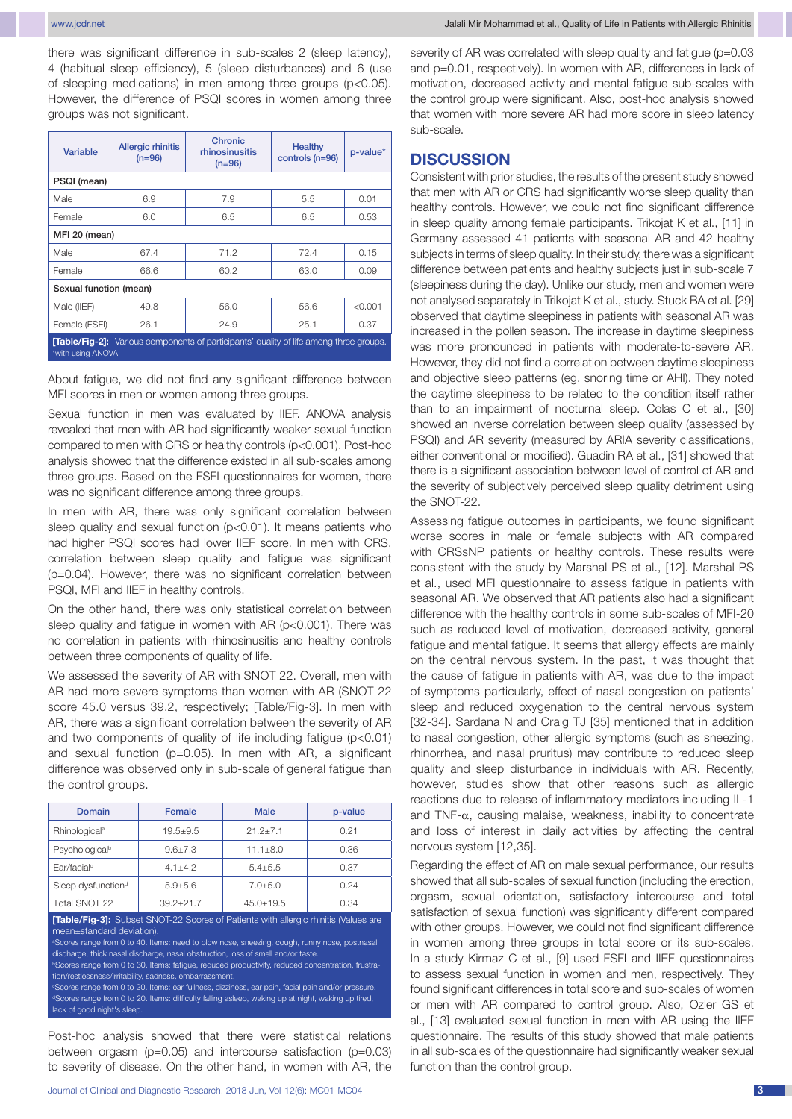www.jcdr.net Jalali Mir Mohammad et al., Quality of Life in Patients with Allergic Rhinitis

there was significant difference in sub-scales 2 (sleep latency), 4 (habitual sleep efficiency), 5 (sleep disturbances) and 6 (use of sleeping medications) in men among three groups (p<0.05). However, the difference of PSQI scores in women among three groups was not significant.

| Variable                                                                                                            | <b>Allergic rhinitis</b><br>$(n=96)$ | Chronic<br>rhinosinusitis<br>$(n=96)$ | Healthy<br>controls (n=96) | p-value* |  |  |  |
|---------------------------------------------------------------------------------------------------------------------|--------------------------------------|---------------------------------------|----------------------------|----------|--|--|--|
| PSQI (mean)                                                                                                         |                                      |                                       |                            |          |  |  |  |
| Male                                                                                                                | 6.9                                  | 7.9                                   | 5.5                        | 0.01     |  |  |  |
| Female                                                                                                              | 6.0                                  | 6.5                                   | 6.5                        | 0.53     |  |  |  |
| MFI 20 (mean)                                                                                                       |                                      |                                       |                            |          |  |  |  |
| Male                                                                                                                | 67.4                                 | 71.2                                  | 72.4                       | 0.15     |  |  |  |
| Female                                                                                                              | 66.6                                 | 60.2                                  | 63.0                       | 0.09     |  |  |  |
| Sexual function (mean)                                                                                              |                                      |                                       |                            |          |  |  |  |
| Male (IIEF)                                                                                                         | 49.8                                 | 56.0                                  | 56.6                       | < 0.001  |  |  |  |
| Female (FSFI)                                                                                                       | 26.1                                 | 24.9                                  | 25.1                       | 0.37     |  |  |  |
| <b>[Table/Fig-2]:</b> Various components of participants' quality of life among three groups.<br>*with using ANOVA. |                                      |                                       |                            |          |  |  |  |

About fatigue, we did not find any significant difference between MFI scores in men or women among three groups.

Sexual function in men was evaluated by IIEF. ANOVA analysis revealed that men with AR had significantly weaker sexual function compared to men with CRS or healthy controls (p<0.001). Post-hoc analysis showed that the difference existed in all sub-scales among three groups. Based on the FSFI questionnaires for women, there was no significant difference among three groups.

In men with AR, there was only significant correlation between sleep quality and sexual function (p<0.01). It means patients who had higher PSQI scores had lower IIEF score. In men with CRS, correlation between sleep quality and fatigue was significant (p=0.04). However, there was no significant correlation between PSQI, MFI and IIEF in healthy controls.

On the other hand, there was only statistical correlation between sleep quality and fatigue in women with AR (p<0.001). There was no correlation in patients with rhinosinusitis and healthy controls between three components of quality of life.

We assessed the severity of AR with SNOT 22. Overall, men with AR had more severe symptoms than women with AR (SNOT 22 score 45.0 versus 39.2, respectively; [Table/Fig-3]. In men with AR, there was a significant correlation between the severity of AR and two components of quality of life including fatigue (p<0.01) and sexual function (p=0.05). In men with AR, a significant difference was observed only in sub-scale of general fatigue than the control groups.

| Domain                                                                                                                                                                                                                                                                                                                                                                                                                                                                                                                                                                                                                                                                                                                                     | Female        | <b>Male</b>    | p-value |  |  |  |  |
|--------------------------------------------------------------------------------------------------------------------------------------------------------------------------------------------------------------------------------------------------------------------------------------------------------------------------------------------------------------------------------------------------------------------------------------------------------------------------------------------------------------------------------------------------------------------------------------------------------------------------------------------------------------------------------------------------------------------------------------------|---------------|----------------|---------|--|--|--|--|
| Rhinological <sup>a</sup>                                                                                                                                                                                                                                                                                                                                                                                                                                                                                                                                                                                                                                                                                                                  | $19.5 + 9.5$  | $21.2 \pm 7.1$ | 0.21    |  |  |  |  |
| Psychological <sup>b</sup>                                                                                                                                                                                                                                                                                                                                                                                                                                                                                                                                                                                                                                                                                                                 | $9.6 + 7.3$   | $11.1 + 8.0$   | 0.36    |  |  |  |  |
| Far/facial <sup>c</sup>                                                                                                                                                                                                                                                                                                                                                                                                                                                                                                                                                                                                                                                                                                                    | $4.1 + 4.2$   | $5.4 + 5.5$    | 0.37    |  |  |  |  |
| Sleep dysfunction <sup>d</sup>                                                                                                                                                                                                                                                                                                                                                                                                                                                                                                                                                                                                                                                                                                             | $5.9 + 5.6$   | $7.0 + 5.0$    | 0.24    |  |  |  |  |
| Total SNOT 22                                                                                                                                                                                                                                                                                                                                                                                                                                                                                                                                                                                                                                                                                                                              | $39.2 + 21.7$ | $45.0 + 19.5$  | 0.34    |  |  |  |  |
| <b>[Table/Fig-3]:</b> Subset SNOT-22 Scores of Patients with allergic rhinitis (Values are<br>mean±standard deviation).<br><sup>a</sup> Scores range from 0 to 40. Items: need to blow nose, sneezing, cough, runny nose, postnasal<br>discharge, thick nasal discharge, nasal obstruction, loss of smell and/or taste.<br><b>Example 5 Food From 0 to 30. Items: fatigue, reduced productivity, reduced concentration, frustra-</b><br>tion/restlessness/irritability, sadness, embarrassment.<br>"Scores range from 0 to 20. Items: ear fullness, dizziness, ear pain, facial pain and/or pressure.<br>dScores range from 0 to 20. Items: difficulty falling asleep, waking up at night, waking up tired,<br>lack of good night's sleep. |               |                |         |  |  |  |  |

Post-hoc analysis showed that there were statistical relations between orgasm (p=0.05) and intercourse satisfaction (p=0.03) to severity of disease. On the other hand, in women with AR, the

severity of AR was correlated with sleep quality and fatigue (p=0.03) and p=0.01, respectively). In women with AR, differences in lack of motivation, decreased activity and mental fatigue sub-scales with the control group were significant. Also, post-hoc analysis showed that women with more severe AR had more score in sleep latency sub-scale.

#### **Discussion**

Consistent with prior studies, the results of the present study showed that men with AR or CRS had significantly worse sleep quality than healthy controls. However, we could not find significant difference in sleep quality among female participants. Trikojat K et al., [11] in Germany assessed 41 patients with seasonal AR and 42 healthy subjects in terms of sleep quality. In their study, there was a significant difference between patients and healthy subjects just in sub-scale 7 (sleepiness during the day). Unlike our study, men and women were not analysed separately in Trikojat K et al., study. Stuck BA et al. [29] observed that daytime sleepiness in patients with seasonal AR was increased in the pollen season. The increase in daytime sleepiness was more pronounced in patients with moderate-to-severe AR. However, they did not find a correlation between daytime sleepiness and objective sleep patterns (eg, snoring time or AHI). They noted the daytime sleepiness to be related to the condition itself rather than to an impairment of nocturnal sleep. Colas C et al., [30] showed an inverse correlation between sleep quality (assessed by PSQI) and AR severity (measured by ARIA severity classifications, either conventional or modified). Guadin RA et al., [31] showed that there is a significant association between level of control of AR and the severity of subjectively perceived sleep quality detriment using the SNOT-22.

Assessing fatigue outcomes in participants, we found significant worse scores in male or female subjects with AR compared with CRSsNP patients or healthy controls. These results were consistent with the study by Marshal PS et al., [12]. Marshal PS et al., used MFI questionnaire to assess fatigue in patients with seasonal AR. We observed that AR patients also had a significant difference with the healthy controls in some sub-scales of MFI-20 such as reduced level of motivation, decreased activity, general fatigue and mental fatigue. It seems that allergy effects are mainly on the central nervous system. In the past, it was thought that the cause of fatigue in patients with AR, was due to the impact of symptoms particularly, effect of nasal congestion on patients' sleep and reduced oxygenation to the central nervous system [32-34]. Sardana N and Craig TJ [35] mentioned that in addition to nasal congestion, other allergic symptoms (such as sneezing, rhinorrhea, and nasal pruritus) may contribute to reduced sleep quality and sleep disturbance in individuals with AR. Recently, however, studies show that other reasons such as allergic reactions due to release of inflammatory mediators including IL-1 and TNF- $\alpha$ , causing malaise, weakness, inability to concentrate and loss of interest in daily activities by affecting the central nervous system [12,35].

Regarding the effect of AR on male sexual performance, our results showed that all sub-scales of sexual function (including the erection, orgasm, sexual orientation, satisfactory intercourse and total satisfaction of sexual function) was significantly different compared with other groups. However, we could not find significant difference in women among three groups in total score or its sub-scales. In a study Kirmaz C et al., [9] used FSFI and IIEF questionnaires to assess sexual function in women and men, respectively. They found significant differences in total score and sub-scales of women or men with AR compared to control group. Also, Ozler GS et al., [13] evaluated sexual function in men with AR using the IIEF questionnaire. The results of this study showed that male patients in all sub-scales of the questionnaire had significantly weaker sexual function than the control group.